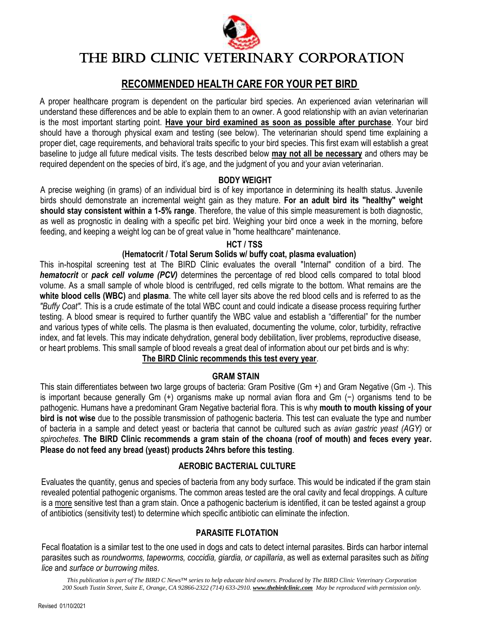

# THE BIRD CLINIC VETERINARY CORPORATION

# **RECOMMENDED HEALTH CARE FOR YOUR PET BIRD**

A proper healthcare program is dependent on the particular bird species. An experienced avian veterinarian will understand these differences and be able to explain them to an owner. A good relationship with an avian veterinarian is the most important starting point. **Have your bird examined as soon as possible after purchase**. Your bird should have a thorough physical exam and testing (see below). The veterinarian should spend time explaining a proper diet, cage requirements, and behavioral traits specific to your bird species. This first exam will establish a great baseline to judge all future medical visits. The tests described below **may not all be necessary** and others may be required dependent on the species of bird, it's age, and the judgment of you and your avian veterinarian.

#### **BODY WEIGHT**

A precise weighing (in grams) of an individual bird is of key importance in determining its health status. Juvenile birds should demonstrate an incremental weight gain as they mature. **For an adult bird its "healthy" weight should stay consistent within a 1-5% range**. Therefore, the value of this simple measurement is both diagnostic, as well as prognostic in dealing with a specific pet bird. Weighing your bird once a week in the morning, before feeding, and keeping a weight log can be of great value in "home healthcare" maintenance.

#### **HCT / TSS**

#### **(Hematocrit / Total Serum Solids w/ buffy coat, plasma evaluation)**

This in-hospital screening test at The BIRD Clinic evaluates the overall "Internal" condition of a bird. The *hematocrit* or *pack cell volume (PCV)* determines the percentage of red blood cells compared to total blood volume. As a small sample of whole blood is centrifuged, red cells migrate to the bottom. What remains are the **white blood cells (WBC)** and **plasma**. The white cell layer sits above the red blood cells and is referred to as the *"Buffy Coat".* This is a crude estimate of the total WBC count and could indicate a disease process requiring further testing. A blood smear is required to further quantify the WBC value and establish a "differential" for the number and various types of white cells. The plasma is then evaluated, documenting the volume, color, turbidity, refractive index, and fat levels. This may indicate dehydration, general body debilitation, liver problems, reproductive disease, or heart problems. This small sample of blood reveals a great deal of information about our pet birds and is why:

# **The BIRD Clinic recommends this test every year**.

#### **GRAM STAIN**

This stain differentiates between two large groups of bacteria: Gram Positive (Gm +) and Gram Negative (Gm -). This is important because generally Gm (+) organisms make up normal avian flora and Gm (−) organisms tend to be pathogenic. Humans have a predominant Gram Negative bacterial flora. This is why **mouth to mouth kissing of your bird is not wise** due to the possible transmission of pathogenic bacteria. This test can evaluate the type and number of bacteria in a sample and detect yeast or bacteria that cannot be cultured such as *avian gastric yeast (AGY)* or *spirochetes*. **The BIRD Clinic recommends a gram stain of the choana (roof of mouth) and feces every year. Please do not feed any bread (yeast) products 24hrs before this testing**.

#### **AEROBIC BACTERIAL CULTURE**

Evaluates the quantity, genus and species of bacteria from any body surface. This would be indicated if the gram stain revealed potential pathogenic organisms. The common areas tested are the oral cavity and fecal droppings. A culture is a more sensitive test than a gram stain. Once a pathogenic bacterium is identified, it can be tested against a group of antibiotics (sensitivity test) to determine which specific antibiotic can eliminate the infection.

#### **PARASITE FLOTATION**

Fecal floatation is a similar test to the one used in dogs and cats to detect internal parasites. Birds can harbor internal parasites such as *roundworms, tapeworms, coccidia, giardia, or capillaria*, as well as external parasites such as *biting lice* and *surface or burrowing mites*.